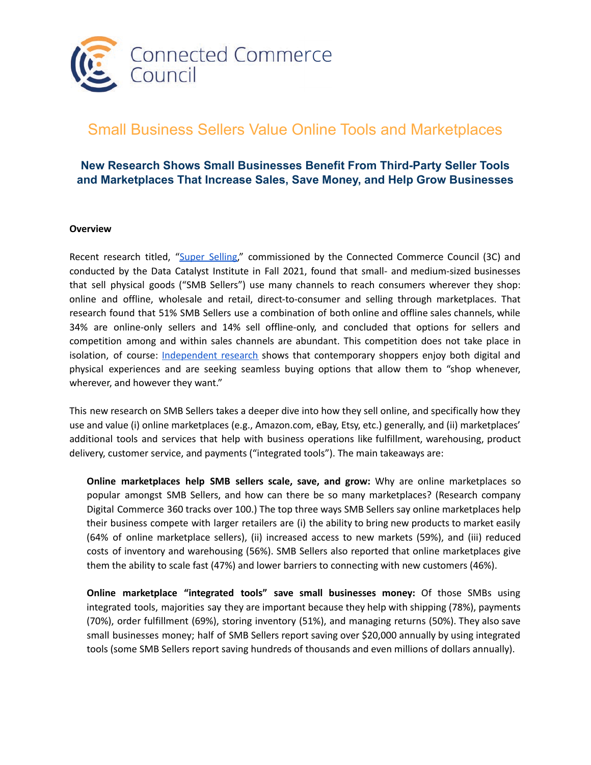

# Small Business Sellers Value Online Tools and Marketplaces

## **New Research Shows Small Businesses Benefit From Third-Party Seller Tools and Marketplaces That Increase Sales, Save Money, and Help Grow Businesses**

#### **Overview**

Recent research titled, "Super [Selling,](https://datacatalyst.org/wp-content/uploads/2021/12/Super-Sellers-Fall-2021-FINAL2.pdf)" commissioned by the Connected Commerce Council (3C) and conducted by the Data Catalyst Institute in Fall 2021, found that small- and medium-sized businesses that sell physical goods ("SMB Sellers") use many channels to reach consumers wherever they shop: online and offline, wholesale and retail, direct-to-consumer and selling through marketplaces. That research found that 51% SMB Sellers use a combination of both online and offline sales channels, while 34% are online-only sellers and 14% sell offline-only, and concluded that options for sellers and competition among and within sales channels are abundant. This competition does not take place in isolation, of course: **[Independent](https://www.deloittedigital.com/content/dam/deloittedigital/us/documents/offerings/offerings-20220125-insightiq-ccia-consumer-preferences-embrace-a-mix-of-physical-and-digital.pdf) research** shows that contemporary shoppers enjoy both digital and physical experiences and are seeking seamless buying options that allow them to "shop whenever, wherever, and however they want."

This new research on SMB Sellers takes a deeper dive into how they sell online, and specifically how they use and value (i) online marketplaces (e.g., Amazon.com, eBay, Etsy, etc.) generally, and (ii) marketplaces' additional tools and services that help with business operations like fulfillment, warehousing, product delivery, customer service, and payments ("integrated tools"). The main takeaways are:

**Online marketplaces help SMB sellers scale, save, and grow:** Why are online marketplaces so popular amongst SMB Sellers, and how can there be so many marketplaces? (Research company Digital Commerce 360 tracks over 100.) The top three ways SMB Sellers say online marketplaces help their business compete with larger retailers are (i) the ability to bring new products to market easily (64% of online marketplace sellers), (ii) increased access to new markets (59%), and (iii) reduced costs of inventory and warehousing (56%). SMB Sellers also reported that online marketplaces give them the ability to scale fast (47%) and lower barriers to connecting with new customers (46%).

**Online marketplace "integrated tools" save small businesses money:** Of those SMBs using integrated tools, majorities say they are important because they help with shipping (78%), payments (70%), order fulfillment (69%), storing inventory (51%), and managing returns (50%). They also save small businesses money; half of SMB Sellers report saving over \$20,000 annually by using integrated tools (some SMB Sellers report saving hundreds of thousands and even millions of dollars annually).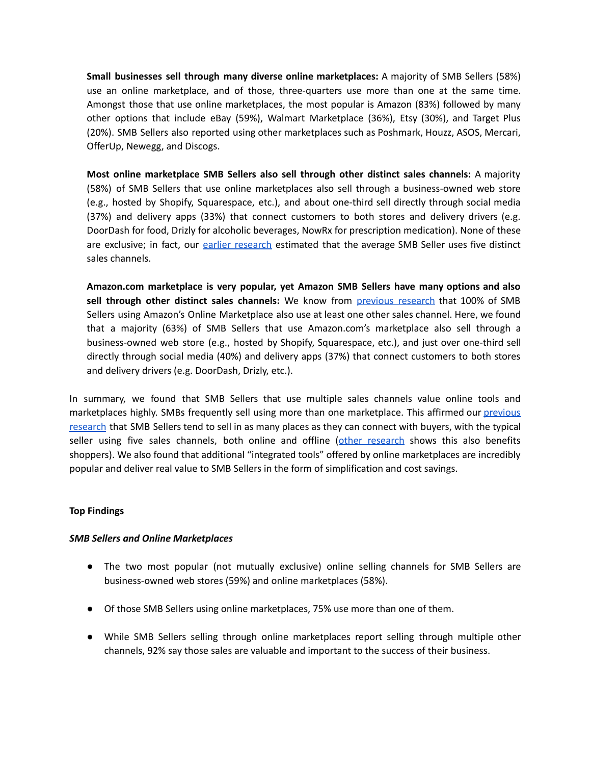**Small businesses sell through many diverse online marketplaces:** A majority of SMB Sellers (58%) use an online marketplace, and of those, three-quarters use more than one at the same time. Amongst those that use online marketplaces, the most popular is Amazon (83%) followed by many other options that include eBay (59%), Walmart Marketplace (36%), Etsy (30%), and Target Plus (20%). SMB Sellers also reported using other marketplaces such as Poshmark, Houzz, ASOS, Mercari, OfferUp, Newegg, and Discogs.

**Most online marketplace SMB Sellers also sell through other distinct sales channels:** A majority (58%) of SMB Sellers that use online marketplaces also sell through a business-owned web store (e.g., hosted by Shopify, Squarespace, etc.), and about one-third sell directly through social media (37%) and delivery apps (33%) that connect customers to both stores and delivery drivers (e.g. DoorDash for food, Drizly for alcoholic beverages, NowRx for prescription medication). None of these are exclusive; in fact, our [earlier research](https://datacatalyst.org/wp-content/uploads/2021/12/DCI-Super-Sellers-FINAL-V2-Oct-2021.pdf) estimated that the average SMB Seller uses five distinct sales channels.

**Amazon.com marketplace is very popular, yet Amazon SMB Sellers have many options and also sell through other distinct sales channels:** We know from [previous research](https://datacatalyst.org/wp-content/uploads/2021/12/Super-Sellers-Fall-2021-FINAL2.pdf) that 100% of SMB Sellers using Amazon's Online Marketplace also use at least one other sales channel. Here, we found that a majority (63%) of SMB Sellers that use Amazon.com's marketplace also sell through a business-owned web store (e.g., hosted by Shopify, Squarespace, etc.), and just over one-third sell directly through social media (40%) and delivery apps (37%) that connect customers to both stores and delivery drivers (e.g. DoorDash, Drizly, etc.).

In summary, we found that SMB Sellers that use multiple sales channels value online tools and marketplaces highly. SMBs frequently sell using more than one marketplace. This affirmed our [previous](https://datacatalyst.org/wp-content/uploads/2021/12/Super-Sellers-Fall-2021-FINAL2.pdf) [research](https://datacatalyst.org/wp-content/uploads/2021/12/Super-Sellers-Fall-2021-FINAL2.pdf) that SMB Sellers tend to sell in as many places as they can connect with buyers, with the typical seller using five sales channels, both online and offline ([other research](https://www.deloittedigital.com/content/dam/deloittedigital/us/documents/offerings/offerings-20220125-insightiq-ccia-consumer-preferences-embrace-a-mix-of-physical-and-digital.pdf) shows this also benefits shoppers). We also found that additional "integrated tools" offered by online marketplaces are incredibly popular and deliver real value to SMB Sellers in the form of simplification and cost savings.

#### **Top Findings**

#### *SMB Sellers and Online Marketplaces*

- The two most popular (not mutually exclusive) online selling channels for SMB Sellers are business-owned web stores (59%) and online marketplaces (58%).
- Of those SMB Sellers using online marketplaces, 75% use more than one of them.
- While SMB Sellers selling through online marketplaces report selling through multiple other channels, 92% say those sales are valuable and important to the success of their business.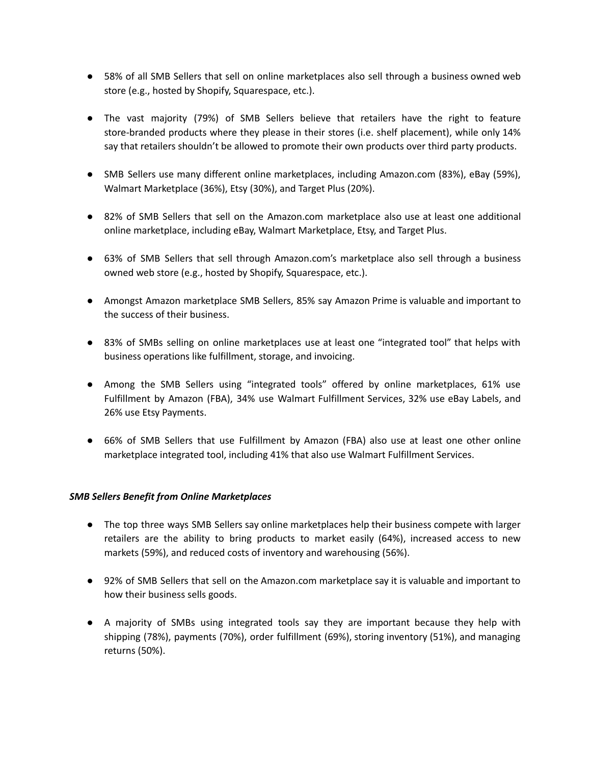- 58% of all SMB Sellers that sell on online marketplaces also sell through a business owned web store (e.g., hosted by Shopify, Squarespace, etc.).
- The vast majority (79%) of SMB Sellers believe that retailers have the right to feature store-branded products where they please in their stores (i.e. shelf placement), while only 14% say that retailers shouldn't be allowed to promote their own products over third party products.
- SMB Sellers use many different online marketplaces, including Amazon.com (83%), eBay (59%), Walmart Marketplace (36%), Etsy (30%), and Target Plus (20%).
- 82% of SMB Sellers that sell on the Amazon.com marketplace also use at least one additional online marketplace, including eBay, Walmart Marketplace, Etsy, and Target Plus.
- 63% of SMB Sellers that sell through Amazon.com's marketplace also sell through a business owned web store (e.g., hosted by Shopify, Squarespace, etc.).
- Amongst Amazon marketplace SMB Sellers, 85% say Amazon Prime is valuable and important to the success of their business.
- 83% of SMBs selling on online marketplaces use at least one "integrated tool" that helps with business operations like fulfillment, storage, and invoicing.
- Among the SMB Sellers using "integrated tools" offered by online marketplaces, 61% use Fulfillment by Amazon (FBA), 34% use Walmart Fulfillment Services, 32% use eBay Labels, and 26% use Etsy Payments.
- 66% of SMB Sellers that use Fulfillment by Amazon (FBA) also use at least one other online marketplace integrated tool, including 41% that also use Walmart Fulfillment Services.

### *SMB Sellers Benefit from Online Marketplaces*

- The top three ways SMB Sellers say online marketplaces help their business compete with larger retailers are the ability to bring products to market easily (64%), increased access to new markets (59%), and reduced costs of inventory and warehousing (56%).
- 92% of SMB Sellers that sell on the Amazon.com marketplace say it is valuable and important to how their business sells goods.
- A majority of SMBs using integrated tools say they are important because they help with shipping (78%), payments (70%), order fulfillment (69%), storing inventory (51%), and managing returns (50%).